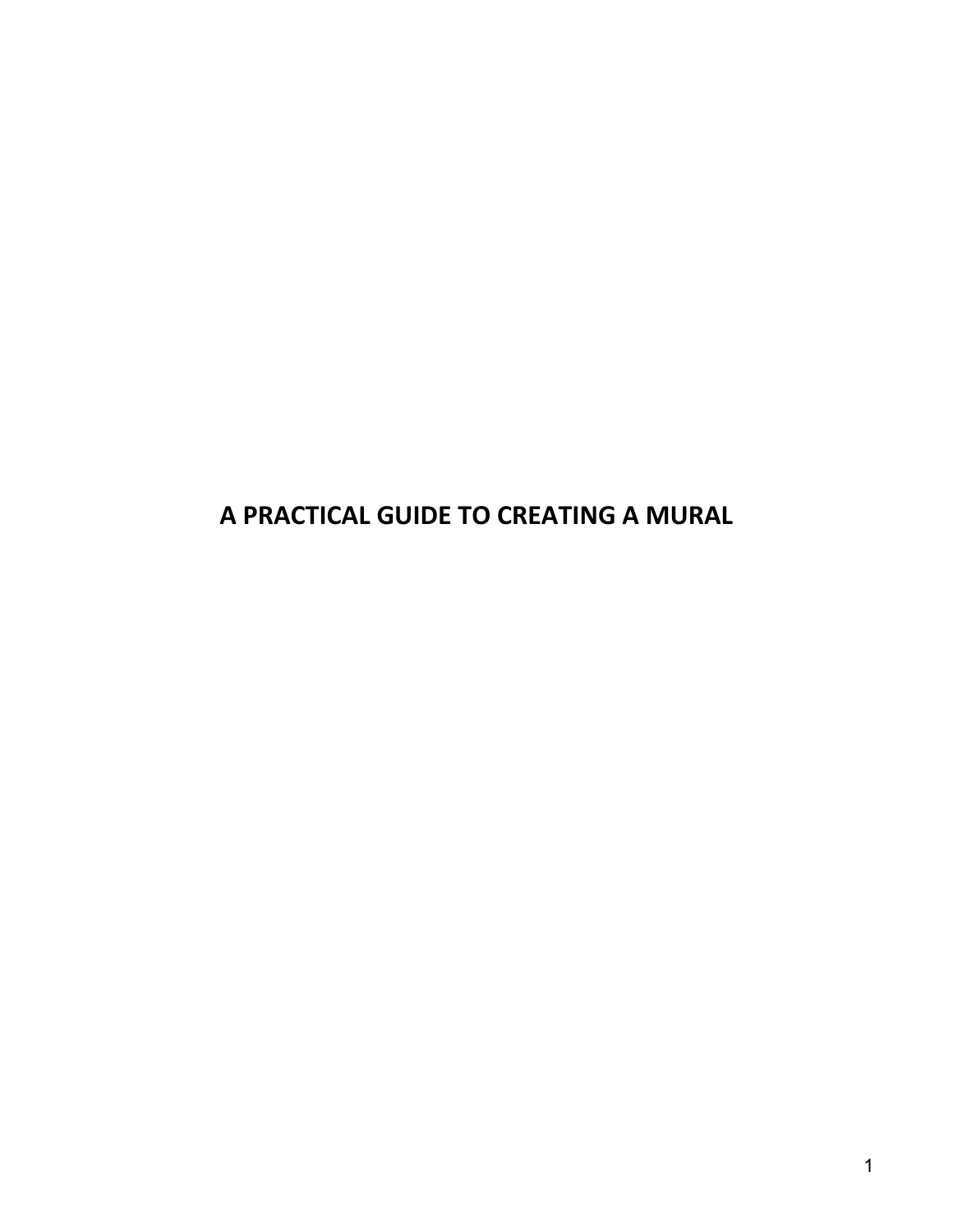**A PRACTICAL GUIDE TO CREATING A MURAL**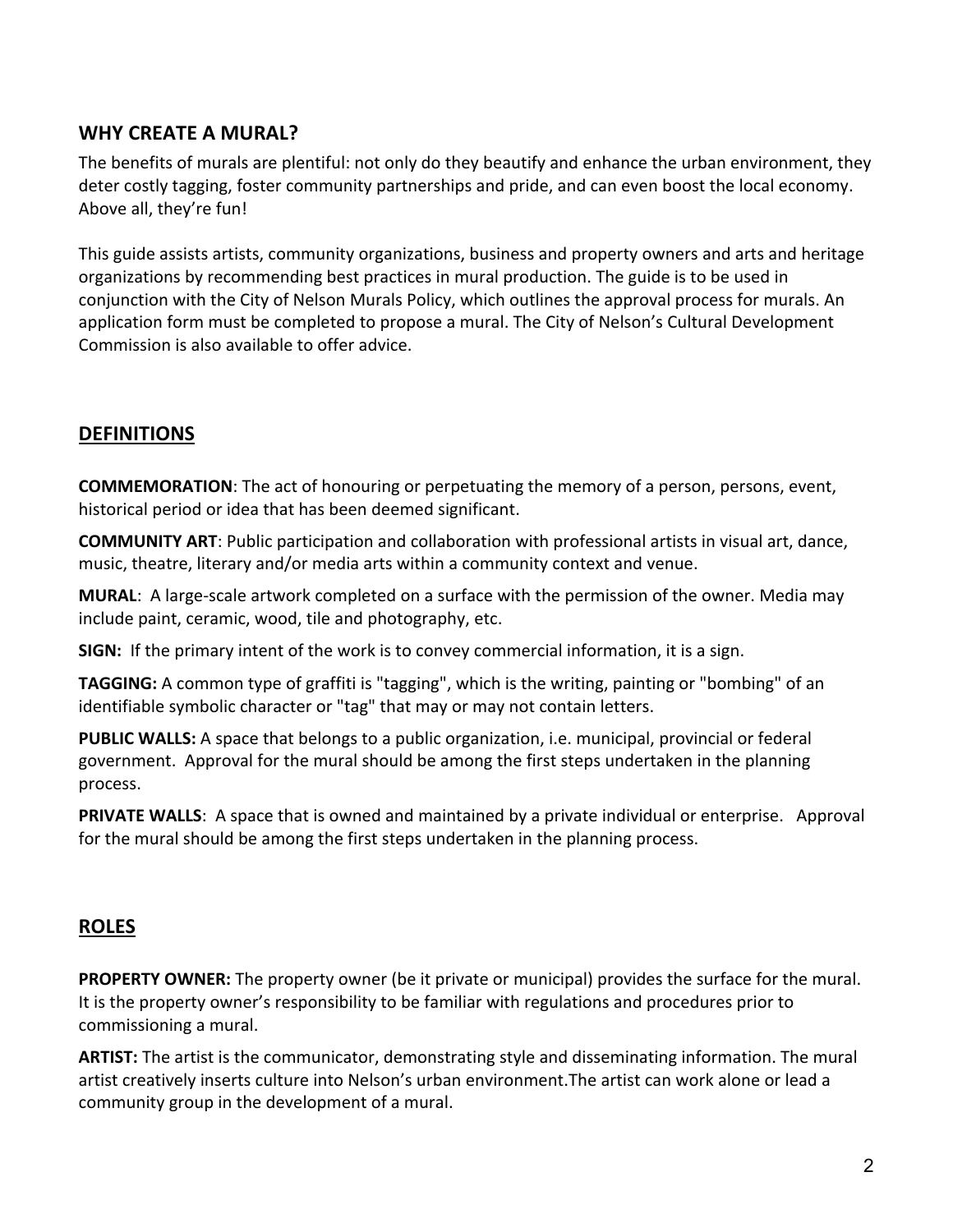## **WHY CREATE A MURAL?**

The benefits of murals are plentiful: not only do they beautify and enhance the urban environment, they deter costly tagging, foster community partnerships and pride, and can even boost the local economy. Above all, they're fun!

This guide assists artists, community organizations, business and property owners and arts and heritage organizations by recommending best practices in mural production. The guide is to be used in conjunction with the City of Nelson Murals Policy, which outlines the approval process for murals. An application form must be completed to propose a mural. The City of Nelson's Cultural Development Commission is also available to offer advice.

# **DEFINITIONS**

**COMMEMORATION:** The act of honouring or perpetuating the memory of a person, persons, event, historical period or idea that has been deemed significant.

**COMMUNITY ART**: Public participation and collaboration with professional artists in visual art, dance, music, theatre, literary and/or media arts within a community context and venue.

**MURAL:** A large-scale artwork completed on a surface with the permission of the owner. Media may include paint, ceramic, wood, tile and photography, etc.

**SIGN:** If the primary intent of the work is to convey commercial information, it is a sign.

**TAGGING:** A common type of graffiti is "tagging", which is the writing, painting or "bombing" of an identifiable symbolic character or "tag" that may or may not contain letters.

**PUBLIC WALLS:** A space that belongs to a public organization, i.e. municipal, provincial or federal government. Approval for the mural should be among the first steps undertaken in the planning process. 

**PRIVATE WALLS:** A space that is owned and maintained by a private individual or enterprise. Approval for the mural should be among the first steps undertaken in the planning process.

## **ROLES**

**PROPERTY OWNER:** The property owner (be it private or municipal) provides the surface for the mural. It is the property owner's responsibility to be familiar with regulations and procedures prior to commissioning a mural.

**ARTIST:** The artist is the communicator, demonstrating style and disseminating information. The mural artist creatively inserts culture into Nelson's urban environment. The artist can work alone or lead a community group in the development of a mural.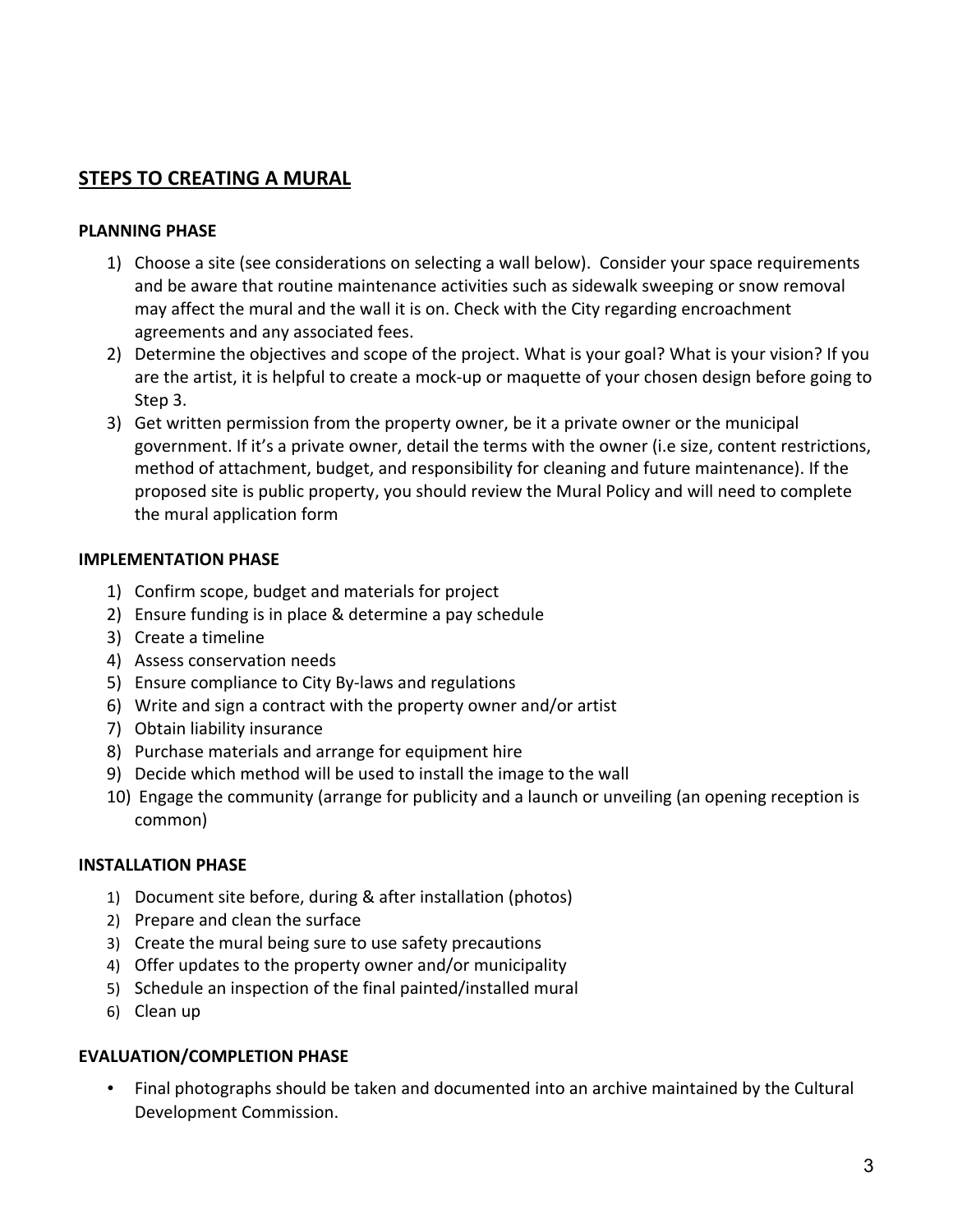# **STEPS TO CREATING A MURAL**

#### **PLANNING PHASE**

- 1) Choose a site (see considerations on selecting a wall below). Consider your space requirements and be aware that routine maintenance activities such as sidewalk sweeping or snow removal may affect the mural and the wall it is on. Check with the City regarding encroachment agreements and any associated fees.
- 2) Determine the objectives and scope of the project. What is your goal? What is your vision? If you are the artist, it is helpful to create a mock-up or maquette of your chosen design before going to Step 3.
- 3) Get written permission from the property owner, be it a private owner or the municipal government. If it's a private owner, detail the terms with the owner (i.e size, content restrictions, method of attachment, budget, and responsibility for cleaning and future maintenance). If the proposed site is public property, you should review the Mural Policy and will need to complete the mural application form

#### **IMPLEMENTATION PHASE**

- 1) Confirm scope, budget and materials for project
- 2) Ensure funding is in place & determine a pay schedule
- 3) Create a timeline
- 4) Assess conservation needs
- 5) Ensure compliance to City By-laws and regulations
- 6) Write and sign a contract with the property owner and/or artist
- 7) Obtain liability insurance
- 8) Purchase materials and arrange for equipment hire
- 9) Decide which method will be used to install the image to the wall
- 10) Engage the community (arrange for publicity and a launch or unveiling (an opening reception is common)

### **INSTALLATION PHASE**

- 1) Document site before, during & after installation (photos)
- 2) Prepare and clean the surface
- 3) Create the mural being sure to use safety precautions
- 4) Offer updates to the property owner and/or municipality
- 5) Schedule an inspection of the final painted/installed mural
- 6) Clean up

### **EVALUATION/COMPLETION PHASE**

• Final photographs should be taken and documented into an archive maintained by the Cultural Development Commission.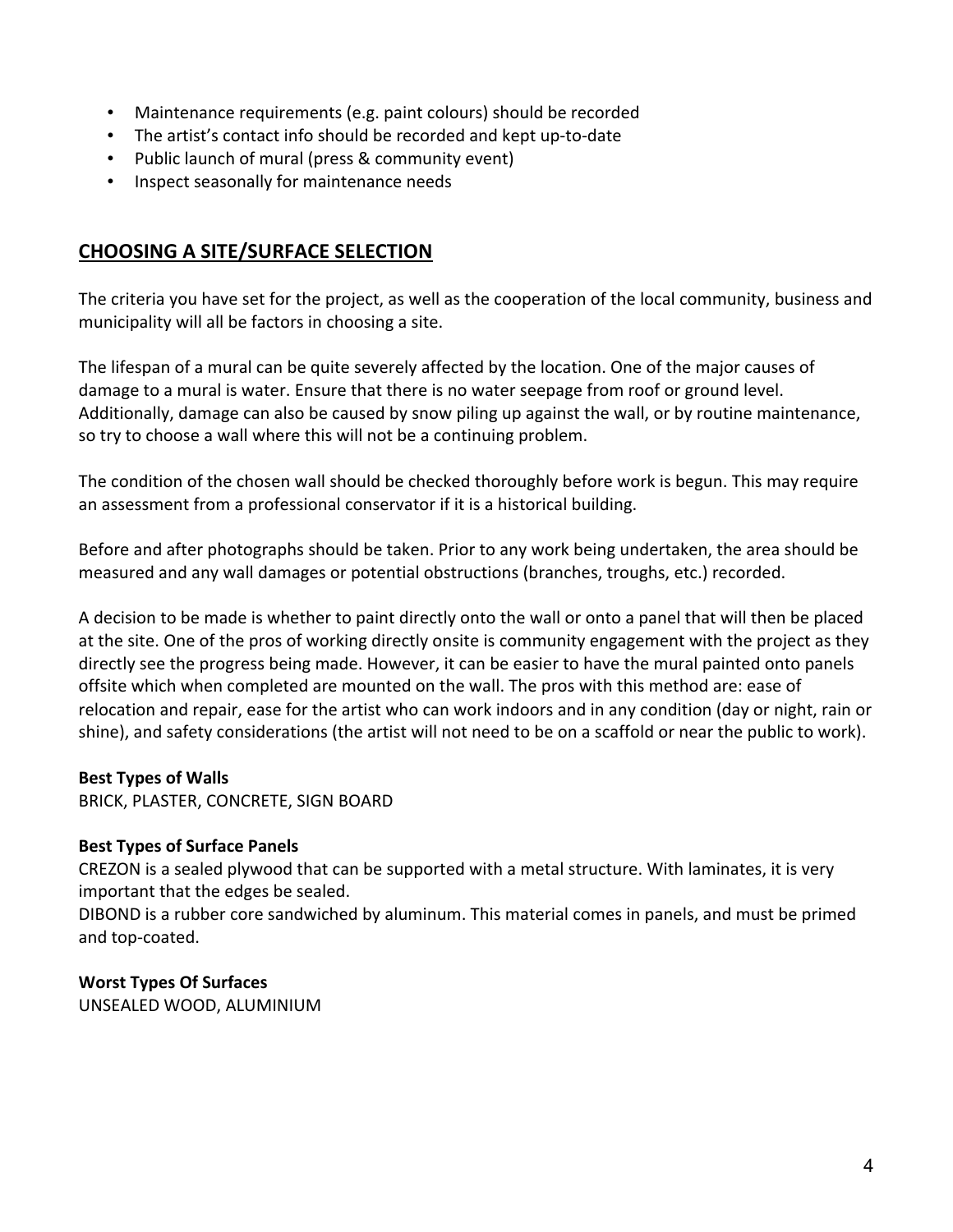- Maintenance requirements (e.g. paint colours) should be recorded
- The artist's contact info should be recorded and kept up-to-date
- Public launch of mural (press & community event)
- Inspect seasonally for maintenance needs

## **CHOOSING A SITE/SURFACE SELECTION**

The criteria you have set for the project, as well as the cooperation of the local community, business and municipality will all be factors in choosing a site.

The lifespan of a mural can be quite severely affected by the location. One of the major causes of damage to a mural is water. Ensure that there is no water seepage from roof or ground level. Additionally, damage can also be caused by snow piling up against the wall, or by routine maintenance, so try to choose a wall where this will not be a continuing problem.

The condition of the chosen wall should be checked thoroughly before work is begun. This may require an assessment from a professional conservator if it is a historical building.

Before and after photographs should be taken. Prior to any work being undertaken, the area should be measured and any wall damages or potential obstructions (branches, troughs, etc.) recorded.

A decision to be made is whether to paint directly onto the wall or onto a panel that will then be placed at the site. One of the pros of working directly onsite is community engagement with the project as they directly see the progress being made. However, it can be easier to have the mural painted onto panels offsite which when completed are mounted on the wall. The pros with this method are: ease of relocation and repair, ease for the artist who can work indoors and in any condition (day or night, rain or shine), and safety considerations (the artist will not need to be on a scaffold or near the public to work).

### **Best Types of Walls**

BRICK, PLASTER, CONCRETE, SIGN BOARD

### **Best Types of Surface Panels**

CREZON is a sealed plywood that can be supported with a metal structure. With laminates, it is very important that the edges be sealed.

DIBOND is a rubber core sandwiched by aluminum. This material comes in panels, and must be primed and top-coated.

### **Worst Types Of Surfaces**

UNSEALED WOOD, ALUMINIUM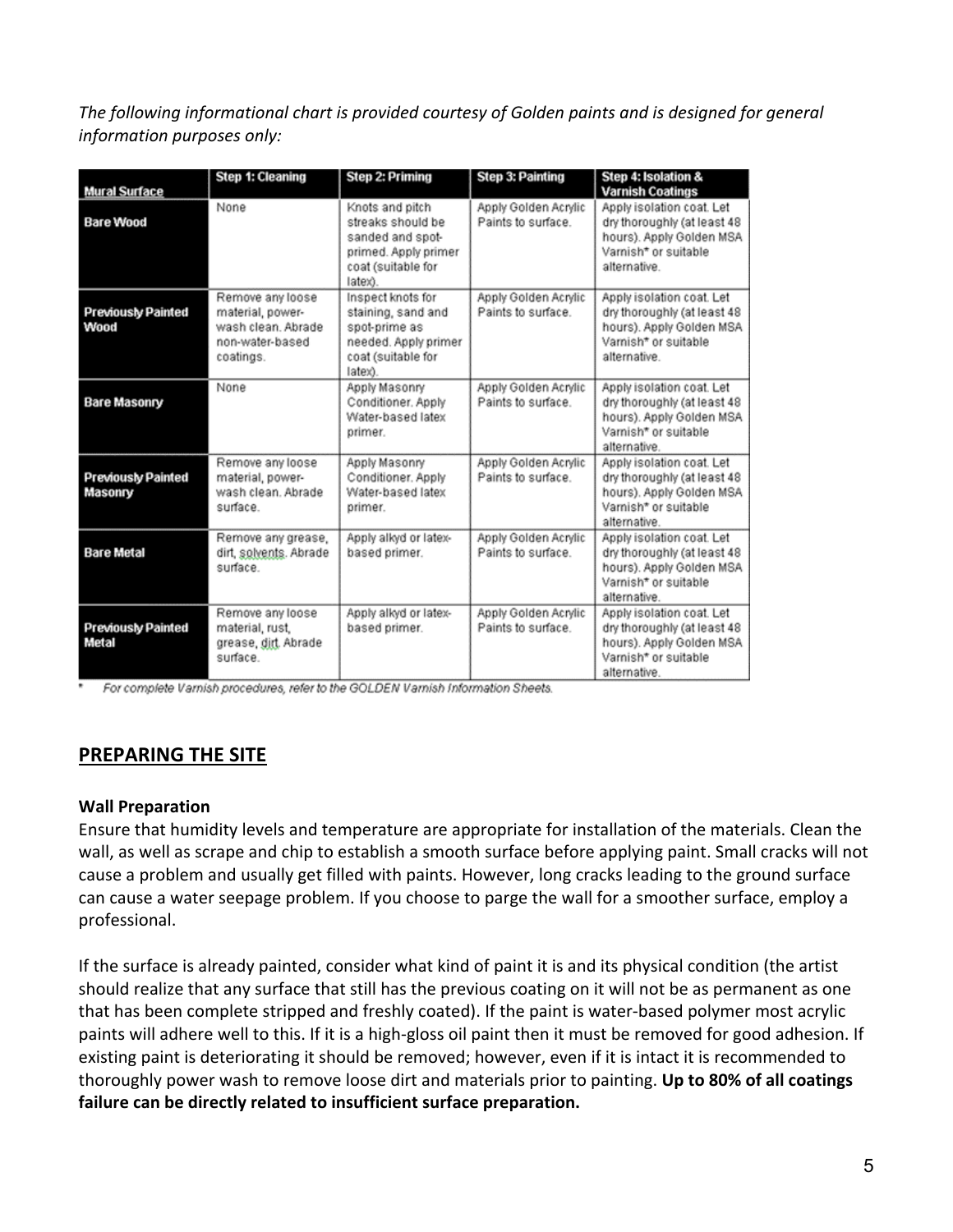The following informational chart is provided courtesy of Golden paints and is designed for general information purposes only:

| Mural Surface                        | <b>Step 1: Cleaning</b>                                                                    | <b>Step 2: Priming</b>                                                                                            | <b>Step 3: Painting</b>                    | Step 4: Isolation &<br><b>Varnish Coatings</b>                                                                               |
|--------------------------------------|--------------------------------------------------------------------------------------------|-------------------------------------------------------------------------------------------------------------------|--------------------------------------------|------------------------------------------------------------------------------------------------------------------------------|
| <b>Bare Wood</b>                     | None                                                                                       | Knots and pitch<br>streaks should be<br>sanded and spot-<br>primed. Apply primer<br>coat (suitable for<br>latex). | Apply Golden Acrylic<br>Paints to surface. | Apply isolation coat. Let<br>dry thoroughly (at least 48<br>hours). Apply Golden MSA<br>Varnish* or suitable<br>alternative. |
| <b>Previously Painted</b><br>Wood    | Remove any loose<br>material, power-<br>wash clean, Abrade<br>non-water-based<br>coatings. | Inspect knots for<br>staining, sand and<br>spot-prime as<br>needed. Apply primer<br>coat (suitable for<br>latex). | Apply Golden Acrylic<br>Paints to surface. | Apply isolation coat, Let<br>dry thoroughly (at least 48<br>hours). Apply Golden MSA<br>Vamish* or suitable<br>alternative.  |
| <b>Bare Masonry</b>                  | None                                                                                       | Apply Masonry<br>Conditioner, Apply<br>Water-based latex<br>primer.                                               | Apply Golden Acrylic<br>Paints to surface. | Apply isolation coat. Let<br>dry thoroughly (at least 48<br>hours). Apply Golden MSA<br>Varnish* or suitable<br>alternative. |
| <b>Previously Painted</b><br>Masonry | Remove any loose<br>material, power-<br>wash clean. Abrade<br>surface.                     | Apply Masonry<br>Conditioner, Apply<br>Water-based latex<br>primer.                                               | Apply Golden Acrylic<br>Paints to surface. | Apply isolation coat. Let<br>dry thoroughly (at least 48<br>hours). Apply Golden MSA<br>Varnish* or suitable<br>alternative. |
| <b>Bare Metal</b>                    | Remove any grease,<br>dirt, solvents. Abrade<br>surface.                                   | Apply alkyd or latex-<br>based primer.                                                                            | Apply Golden Acrylic<br>Paints to surface. | Apply isolation coat. Let<br>dry thoroughly (at least 48<br>hours). Apply Golden MSA<br>Varnish* or suitable<br>alternative. |
| <b>Previously Painted</b><br>Metal   | Remove any loose<br>material, rust,<br>grease, dirt. Abrade<br>surface.                    | Apply alkyd or latex-<br>based primer.                                                                            | Apply Golden Acrylic<br>Paints to surface. | Apply isolation coat. Let<br>dry thoroughly (at least 48<br>hours). Apply Golden MSA<br>Varnish* or suitable<br>alternative. |

For complete Varnish procedures, refer to the GOLDEN Varnish Information Sheets.

# **PREPARING THE SITE**

#### **Wall Preparation**

Ensure that humidity levels and temperature are appropriate for installation of the materials. Clean the wall, as well as scrape and chip to establish a smooth surface before applying paint. Small cracks will not cause a problem and usually get filled with paints. However, long cracks leading to the ground surface can cause a water seepage problem. If you choose to parge the wall for a smoother surface, employ a professional. 

If the surface is already painted, consider what kind of paint it is and its physical condition (the artist should realize that any surface that still has the previous coating on it will not be as permanent as one that has been complete stripped and freshly coated). If the paint is water-based polymer most acrylic paints will adhere well to this. If it is a high-gloss oil paint then it must be removed for good adhesion. If existing paint is deteriorating it should be removed; however, even if it is intact it is recommended to thoroughly power wash to remove loose dirt and materials prior to painting. Up to 80% of all coatings failure can be directly related to insufficient surface preparation.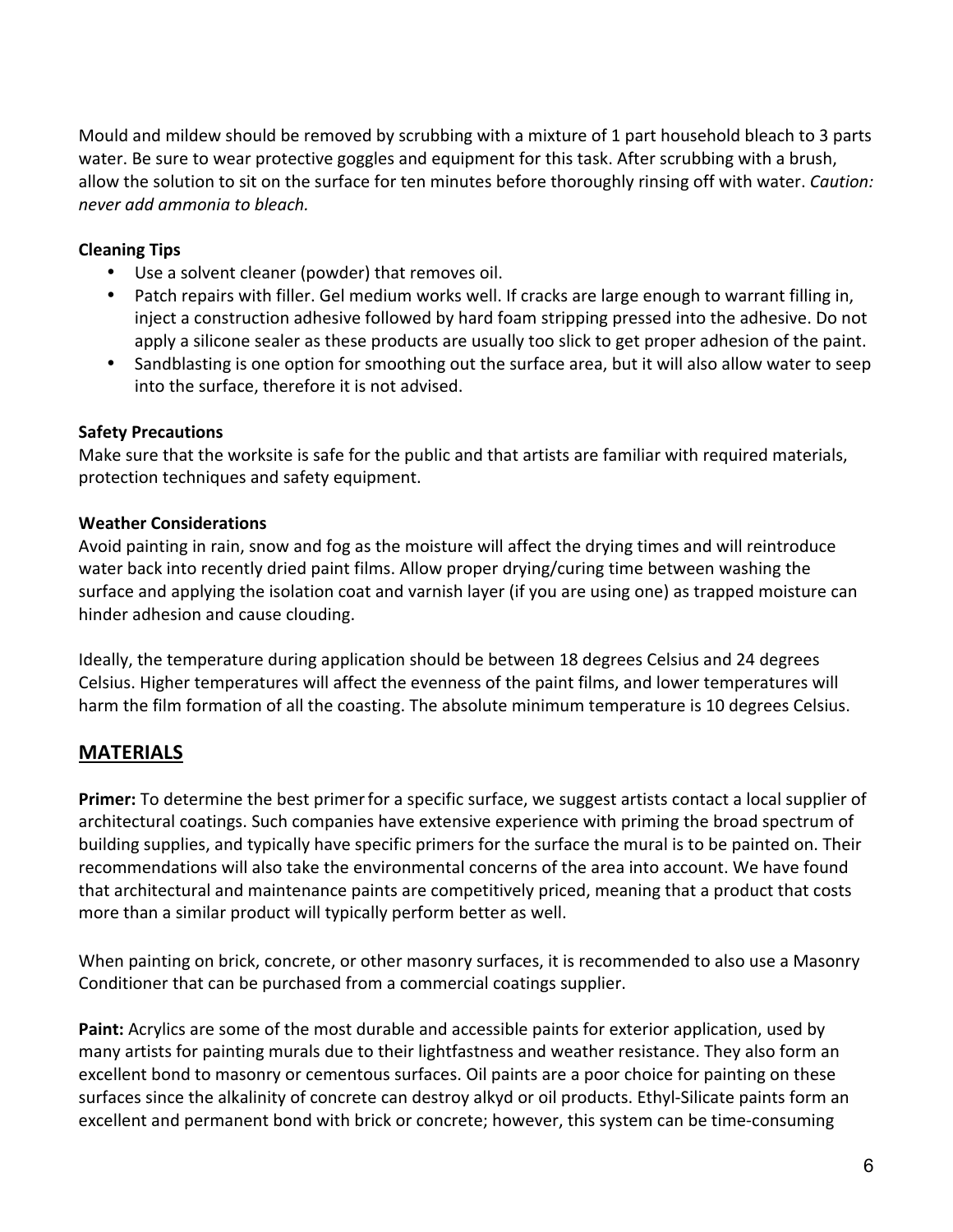Mould and mildew should be removed by scrubbing with a mixture of 1 part household bleach to 3 parts water. Be sure to wear protective goggles and equipment for this task. After scrubbing with a brush, allow the solution to sit on the surface for ten minutes before thoroughly rinsing off with water. *Caution: never add ammonia to bleach.*

### **Cleaning Tips**

- Use a solvent cleaner (powder) that removes oil.
- Patch repairs with filler. Gel medium works well. If cracks are large enough to warrant filling in, inject a construction adhesive followed by hard foam stripping pressed into the adhesive. Do not apply a silicone sealer as these products are usually too slick to get proper adhesion of the paint.
- Sandblasting is one option for smoothing out the surface area, but it will also allow water to seep into the surface, therefore it is not advised.

### **Safety Precautions**

Make sure that the worksite is safe for the public and that artists are familiar with required materials, protection techniques and safety equipment.

### **Weather Considerations**

Avoid painting in rain, snow and fog as the moisture will affect the drying times and will reintroduce water back into recently dried paint films. Allow proper drying/curing time between washing the surface and applying the isolation coat and varnish layer (if you are using one) as trapped moisture can hinder adhesion and cause clouding.

Ideally, the temperature during application should be between 18 degrees Celsius and 24 degrees Celsius. Higher temperatures will affect the evenness of the paint films, and lower temperatures will harm the film formation of all the coasting. The absolute minimum temperature is 10 degrees Celsius.

# **MATERIALS**

**Primer:** To determine the best primer for a specific surface, we suggest artists contact a local supplier of architectural coatings. Such companies have extensive experience with priming the broad spectrum of building supplies, and typically have specific primers for the surface the mural is to be painted on. Their recommendations will also take the environmental concerns of the area into account. We have found that architectural and maintenance paints are competitively priced, meaning that a product that costs more than a similar product will typically perform better as well.

When painting on brick, concrete, or other masonry surfaces, it is recommended to also use a Masonry Conditioner that can be purchased from a commercial coatings supplier.

**Paint:** Acrylics are some of the most durable and accessible paints for exterior application, used by many artists for painting murals due to their lightfastness and weather resistance. They also form an excellent bond to masonry or cementous surfaces. Oil paints are a poor choice for painting on these surfaces since the alkalinity of concrete can destroy alkyd or oil products. Ethyl-Silicate paints form an excellent and permanent bond with brick or concrete; however, this system can be time-consuming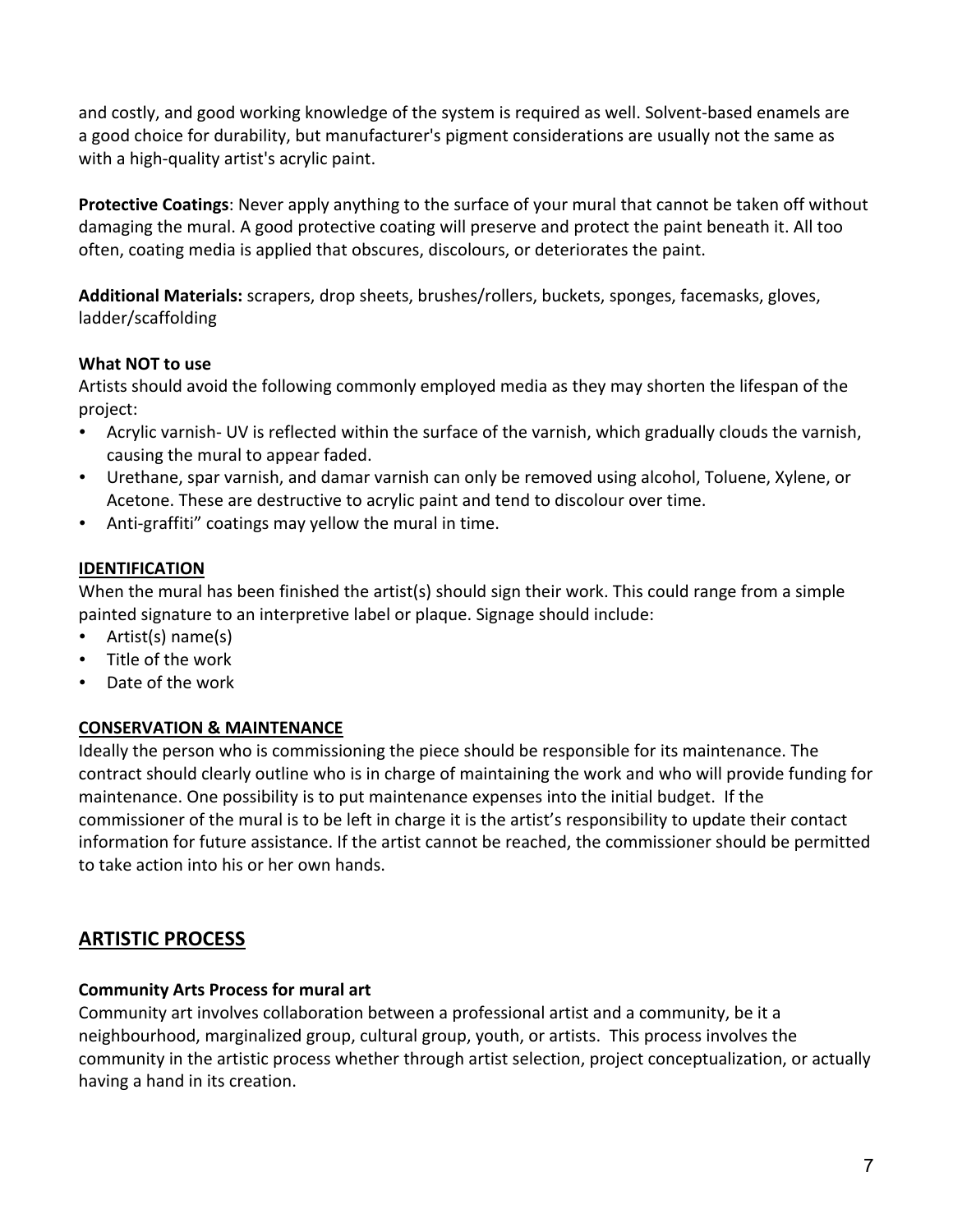and costly, and good working knowledge of the system is required as well. Solvent-based enamels are a good choice for durability, but manufacturer's pigment considerations are usually not the same as with a high-quality artist's acrylic paint.

**Protective Coatings**: Never apply anything to the surface of your mural that cannot be taken off without damaging the mural. A good protective coating will preserve and protect the paint beneath it. All too often, coating media is applied that obscures, discolours, or deteriorates the paint.

Additional Materials: scrapers, drop sheets, brushes/rollers, buckets, sponges, facemasks, gloves, ladder/scaffolding

## **What NOT to use**

Artists should avoid the following commonly employed media as they may shorten the lifespan of the project:

- Acrylic varnish- UV is reflected within the surface of the varnish, which gradually clouds the varnish, causing the mural to appear faded.
- Urethane, spar varnish, and damar varnish can only be removed using alcohol, Toluene, Xylene, or Acetone. These are destructive to acrylic paint and tend to discolour over time.
- Anti-graffiti" coatings may yellow the mural in time.

## **IDENTIFICATION**

When the mural has been finished the artist(s) should sign their work. This could range from a simple painted signature to an interpretive label or plaque. Signage should include:

- Artist(s)  $name(s)$
- Title of the work
- Date of the work

## **CONSERVATION & MAINTENANCE**

Ideally the person who is commissioning the piece should be responsible for its maintenance. The contract should clearly outline who is in charge of maintaining the work and who will provide funding for maintenance. One possibility is to put maintenance expenses into the initial budget. If the commissioner of the mural is to be left in charge it is the artist's responsibility to update their contact information for future assistance. If the artist cannot be reached, the commissioner should be permitted to take action into his or her own hands.

# **ARTISTIC PROCESS**

### **Community Arts Process for mural art**

Community art involves collaboration between a professional artist and a community, be it a neighbourhood, marginalized group, cultural group, youth, or artists. This process involves the community in the artistic process whether through artist selection, project conceptualization, or actually having a hand in its creation.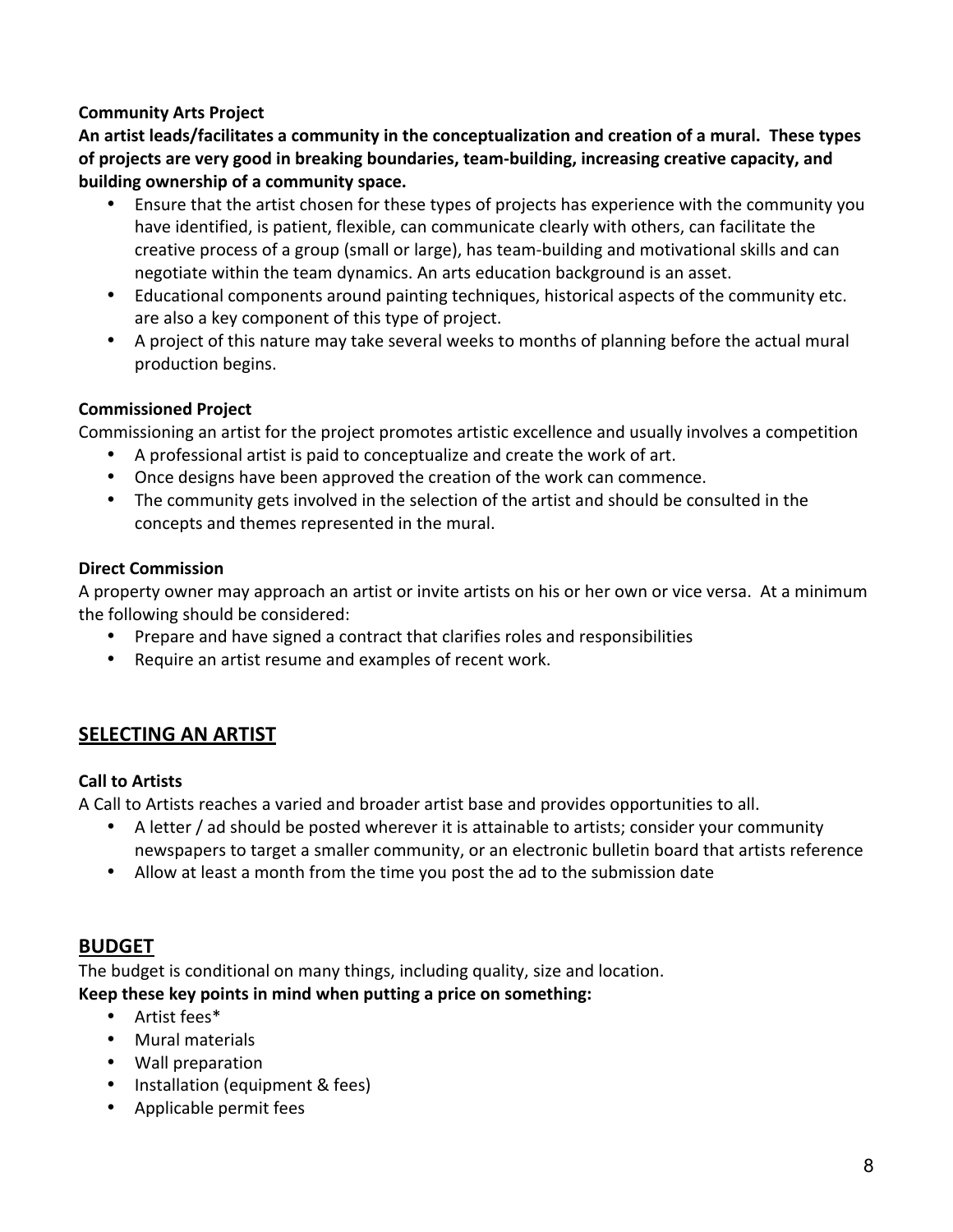## **Community Arts Project**

An artist leads/facilitates a community in the conceptualization and creation of a mural. These types of projects are very good in breaking boundaries, team-building, increasing creative capacity, and **building ownership of a community space.** 

- Ensure that the artist chosen for these types of projects has experience with the community you have identified, is patient, flexible, can communicate clearly with others, can facilitate the creative process of a group (small or large), has team-building and motivational skills and can negotiate within the team dynamics. An arts education background is an asset.
- Educational components around painting techniques, historical aspects of the community etc. are also a key component of this type of project.
- A project of this nature may take several weeks to months of planning before the actual mural production begins.

## **Commissioned Project**

Commissioning an artist for the project promotes artistic excellence and usually involves a competition

- A professional artist is paid to conceptualize and create the work of art.
- Once designs have been approved the creation of the work can commence.
- The community gets involved in the selection of the artist and should be consulted in the concepts and themes represented in the mural.

## **Direct Commission**

A property owner may approach an artist or invite artists on his or her own or vice versa. At a minimum the following should be considered:

- Prepare and have signed a contract that clarifies roles and responsibilities
- Require an artist resume and examples of recent work.

# **SELECTING AN ARTIST**

## **Call to Artists**

A Call to Artists reaches a varied and broader artist base and provides opportunities to all.

- A letter / ad should be posted wherever it is attainable to artists; consider your community newspapers to target a smaller community, or an electronic bulletin board that artists reference
- Allow at least a month from the time you post the ad to the submission date

# **BUDGET**

The budget is conditional on many things, including quality, size and location. Keep these key points in mind when putting a price on something:

- $\bullet$  Artist fees\*
- Mural materials
- Wall preparation
- Installation (equipment & fees)
- Applicable permit fees